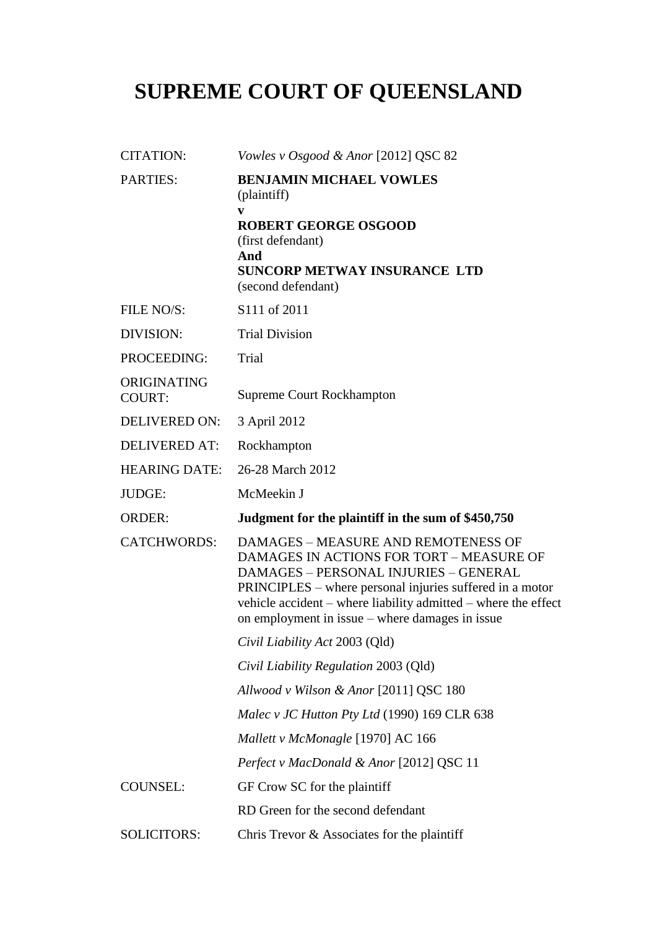# **SUPREME COURT OF QUEENSLAND**

| <b>CITATION:</b>             | Vowles v Osgood & Anor [2012] QSC 82                                                                                                                                                                                                                                                                             |  |
|------------------------------|------------------------------------------------------------------------------------------------------------------------------------------------------------------------------------------------------------------------------------------------------------------------------------------------------------------|--|
| <b>PARTIES:</b>              | <b>BENJAMIN MICHAEL VOWLES</b><br>(plaintiff)<br>V<br><b>ROBERT GEORGE OSGOOD</b><br>(first defendant)                                                                                                                                                                                                           |  |
|                              | And<br><b>SUNCORP METWAY INSURANCE LTD</b><br>(second defendant)                                                                                                                                                                                                                                                 |  |
| FILE NO/S:                   | S111 of 2011                                                                                                                                                                                                                                                                                                     |  |
| DIVISION:                    | <b>Trial Division</b>                                                                                                                                                                                                                                                                                            |  |
| PROCEEDING:                  | Trial                                                                                                                                                                                                                                                                                                            |  |
| ORIGINATING<br><b>COURT:</b> | <b>Supreme Court Rockhampton</b>                                                                                                                                                                                                                                                                                 |  |
| <b>DELIVERED ON:</b>         | 3 April 2012                                                                                                                                                                                                                                                                                                     |  |
| <b>DELIVERED AT:</b>         | Rockhampton                                                                                                                                                                                                                                                                                                      |  |
| <b>HEARING DATE:</b>         | 26-28 March 2012                                                                                                                                                                                                                                                                                                 |  |
| JUDGE:                       | McMeekin J                                                                                                                                                                                                                                                                                                       |  |
| <b>ORDER:</b>                | Judgment for the plaintiff in the sum of \$450,750                                                                                                                                                                                                                                                               |  |
| <b>CATCHWORDS:</b>           | DAMAGES - MEASURE AND REMOTENESS OF<br>DAMAGES IN ACTIONS FOR TORT - MEASURE OF<br><b>DAMAGES - PERSONAL INJURIES - GENERAL</b><br>PRINCIPLES – where personal injuries suffered in a motor<br>vehicle accident – where liability admitted – where the effect<br>on employment in issue – where damages in issue |  |
|                              | Civil Liability Act 2003 (Qld)                                                                                                                                                                                                                                                                                   |  |
|                              | Civil Liability Regulation 2003 (Qld)                                                                                                                                                                                                                                                                            |  |
|                              | Allwood v Wilson & Anor [2011] QSC 180                                                                                                                                                                                                                                                                           |  |
|                              | Malec v JC Hutton Pty Ltd (1990) 169 CLR 638                                                                                                                                                                                                                                                                     |  |
|                              | Mallett v McMonagle [1970] AC 166                                                                                                                                                                                                                                                                                |  |
|                              | Perfect v MacDonald & Anor [2012] QSC 11                                                                                                                                                                                                                                                                         |  |
| <b>COUNSEL:</b>              | GF Crow SC for the plaintiff                                                                                                                                                                                                                                                                                     |  |
|                              | RD Green for the second defendant                                                                                                                                                                                                                                                                                |  |
| <b>SOLICITORS:</b>           | Chris Trevor & Associates for the plaintiff                                                                                                                                                                                                                                                                      |  |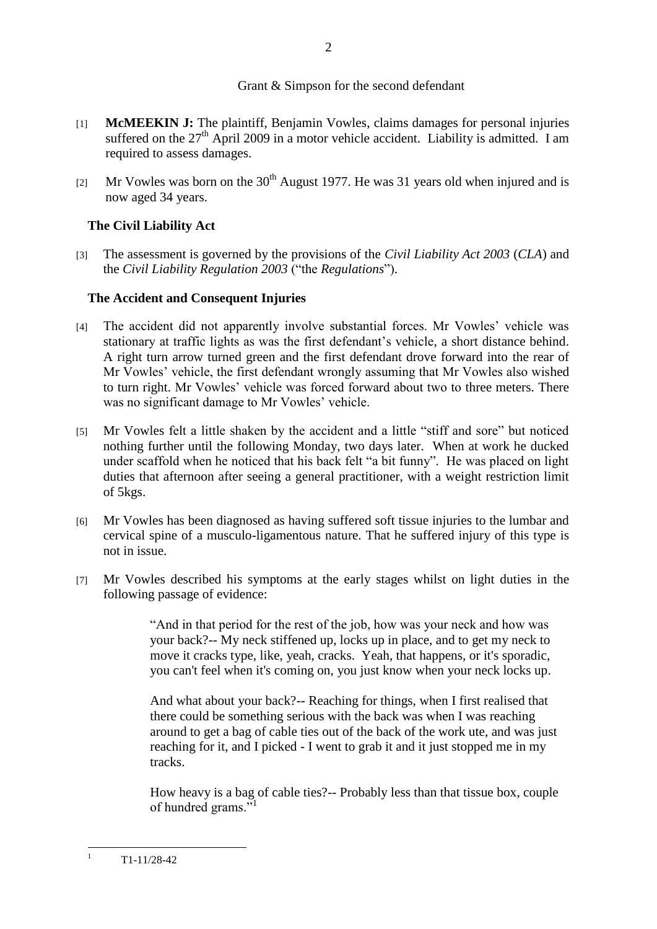## Grant & Simpson for the second defendant

- [1] **McMEEKIN J:** The plaintiff, Benjamin Vowles, claims damages for personal injuries suffered on the  $27<sup>th</sup>$  April 2009 in a motor vehicle accident. Liability is admitted. I am required to assess damages.
- [2] Mr Vowles was born on the  $30<sup>th</sup>$  August 1977. He was 31 years old when injured and is now aged 34 years.

## **The Civil Liability Act**

[3] The assessment is governed by the provisions of the *Civil Liability Act 2003* (*CLA*) and the *Civil Liability Regulation 2003* ("the *Regulations*").

## **The Accident and Consequent Injuries**

- [4] The accident did not apparently involve substantial forces. Mr Vowles' vehicle was stationary at traffic lights as was the first defendant's vehicle, a short distance behind. A right turn arrow turned green and the first defendant drove forward into the rear of Mr Vowles' vehicle, the first defendant wrongly assuming that Mr Vowles also wished to turn right. Mr Vowles' vehicle was forced forward about two to three meters. There was no significant damage to Mr Vowles' vehicle.
- [5] Mr Vowles felt a little shaken by the accident and a little "stiff and sore" but noticed nothing further until the following Monday, two days later. When at work he ducked under scaffold when he noticed that his back felt "a bit funny". He was placed on light duties that afternoon after seeing a general practitioner, with a weight restriction limit of 5kgs.
- [6] Mr Vowles has been diagnosed as having suffered soft tissue injuries to the lumbar and cervical spine of a musculo-ligamentous nature. That he suffered injury of this type is not in issue.
- [7] Mr Vowles described his symptoms at the early stages whilst on light duties in the following passage of evidence:

"And in that period for the rest of the job, how was your neck and how was your back?-- My neck stiffened up, locks up in place, and to get my neck to move it cracks type, like, yeah, cracks. Yeah, that happens, or it's sporadic, you can't feel when it's coming on, you just know when your neck locks up.

And what about your back?-- Reaching for things, when I first realised that there could be something serious with the back was when I was reaching around to get a bag of cable ties out of the back of the work ute, and was just reaching for it, and I picked - I went to grab it and it just stopped me in my tracks.

How heavy is a bag of cable ties?-- Probably less than that tissue box, couple of hundred grams."

 $\mathbf{1}$ <sup>1</sup> T1-11/28-42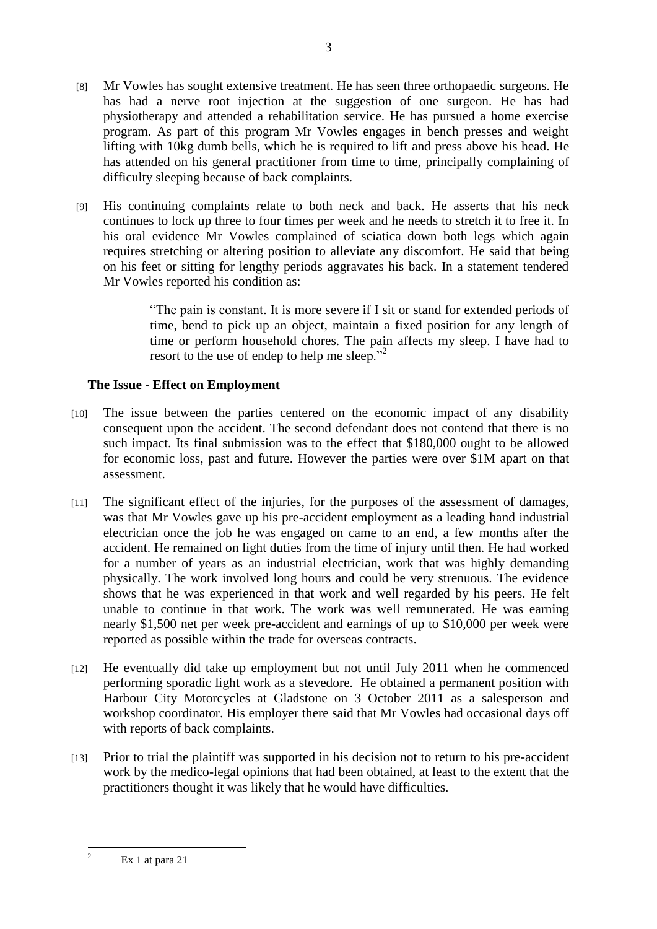- [8] Mr Vowles has sought extensive treatment. He has seen three orthopaedic surgeons. He has had a nerve root injection at the suggestion of one surgeon. He has had physiotherapy and attended a rehabilitation service. He has pursued a home exercise program. As part of this program Mr Vowles engages in bench presses and weight lifting with 10kg dumb bells, which he is required to lift and press above his head. He has attended on his general practitioner from time to time, principally complaining of difficulty sleeping because of back complaints.
- [9] His continuing complaints relate to both neck and back. He asserts that his neck continues to lock up three to four times per week and he needs to stretch it to free it. In his oral evidence Mr Vowles complained of sciatica down both legs which again requires stretching or altering position to alleviate any discomfort. He said that being on his feet or sitting for lengthy periods aggravates his back. In a statement tendered Mr Vowles reported his condition as:

"The pain is constant. It is more severe if I sit or stand for extended periods of time, bend to pick up an object, maintain a fixed position for any length of time or perform household chores. The pain affects my sleep. I have had to resort to the use of endep to help me sleep."<sup>2</sup>

## **The Issue - Effect on Employment**

- [10] The issue between the parties centered on the economic impact of any disability consequent upon the accident. The second defendant does not contend that there is no such impact. Its final submission was to the effect that \$180,000 ought to be allowed for economic loss, past and future. However the parties were over \$1M apart on that assessment.
- [11] The significant effect of the injuries, for the purposes of the assessment of damages, was that Mr Vowles gave up his pre-accident employment as a leading hand industrial electrician once the job he was engaged on came to an end, a few months after the accident. He remained on light duties from the time of injury until then. He had worked for a number of years as an industrial electrician, work that was highly demanding physically. The work involved long hours and could be very strenuous. The evidence shows that he was experienced in that work and well regarded by his peers. He felt unable to continue in that work. The work was well remunerated. He was earning nearly \$1,500 net per week pre-accident and earnings of up to \$10,000 per week were reported as possible within the trade for overseas contracts.
- [12] He eventually did take up employment but not until July 2011 when he commenced performing sporadic light work as a stevedore. He obtained a permanent position with Harbour City Motorcycles at Gladstone on 3 October 2011 as a salesperson and workshop coordinator. His employer there said that Mr Vowles had occasional days off with reports of back complaints.
- [13] Prior to trial the plaintiff was supported in his decision not to return to his pre-accident work by the medico-legal opinions that had been obtained, at least to the extent that the practitioners thought it was likely that he would have difficulties.

 $\overline{2}$ Ex 1 at para 21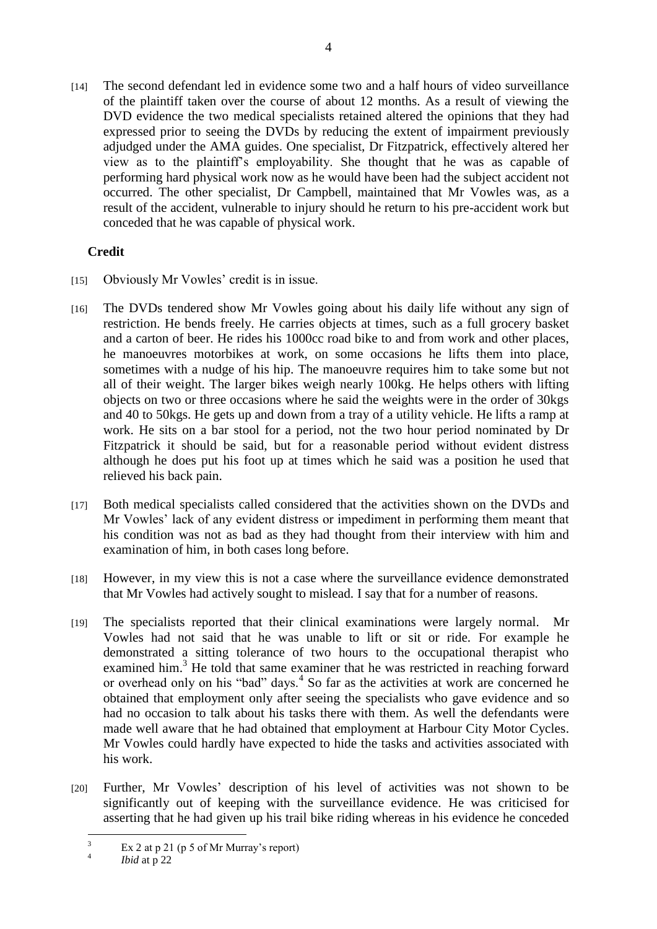[14] The second defendant led in evidence some two and a half hours of video surveillance of the plaintiff taken over the course of about 12 months. As a result of viewing the DVD evidence the two medical specialists retained altered the opinions that they had expressed prior to seeing the DVDs by reducing the extent of impairment previously adjudged under the AMA guides. One specialist, Dr Fitzpatrick, effectively altered her view as to the plaintiff's employability. She thought that he was as capable of performing hard physical work now as he would have been had the subject accident not occurred. The other specialist, Dr Campbell, maintained that Mr Vowles was, as a result of the accident, vulnerable to injury should he return to his pre-accident work but conceded that he was capable of physical work.

## **Credit**

- [15] Obviously Mr Vowles' credit is in issue.
- [16] The DVDs tendered show Mr Vowles going about his daily life without any sign of restriction. He bends freely. He carries objects at times, such as a full grocery basket and a carton of beer. He rides his 1000cc road bike to and from work and other places, he manoeuvres motorbikes at work, on some occasions he lifts them into place, sometimes with a nudge of his hip. The manoeuvre requires him to take some but not all of their weight. The larger bikes weigh nearly 100kg. He helps others with lifting objects on two or three occasions where he said the weights were in the order of 30kgs and 40 to 50kgs. He gets up and down from a tray of a utility vehicle. He lifts a ramp at work. He sits on a bar stool for a period, not the two hour period nominated by Dr Fitzpatrick it should be said, but for a reasonable period without evident distress although he does put his foot up at times which he said was a position he used that relieved his back pain.
- [17] Both medical specialists called considered that the activities shown on the DVDs and Mr Vowles' lack of any evident distress or impediment in performing them meant that his condition was not as bad as they had thought from their interview with him and examination of him, in both cases long before.
- [18] However, in my view this is not a case where the surveillance evidence demonstrated that Mr Vowles had actively sought to mislead. I say that for a number of reasons.
- [19] The specialists reported that their clinical examinations were largely normal. Mr Vowles had not said that he was unable to lift or sit or ride. For example he demonstrated a sitting tolerance of two hours to the occupational therapist who examined him.<sup>3</sup> He told that same examiner that he was restricted in reaching forward or overhead only on his "bad" days.<sup>4</sup> So far as the activities at work are concerned he obtained that employment only after seeing the specialists who gave evidence and so had no occasion to talk about his tasks there with them. As well the defendants were made well aware that he had obtained that employment at Harbour City Motor Cycles. Mr Vowles could hardly have expected to hide the tasks and activities associated with his work.
- [20] Further, Mr Vowles' description of his level of activities was not shown to be significantly out of keeping with the surveillance evidence. He was criticised for asserting that he had given up his trail bike riding whereas in his evidence he conceded

 $\overline{\mathbf{3}}$ Ex 2 at p 21 (p 5 of Mr Murray's report)

<sup>4</sup> *Ibid* at p 22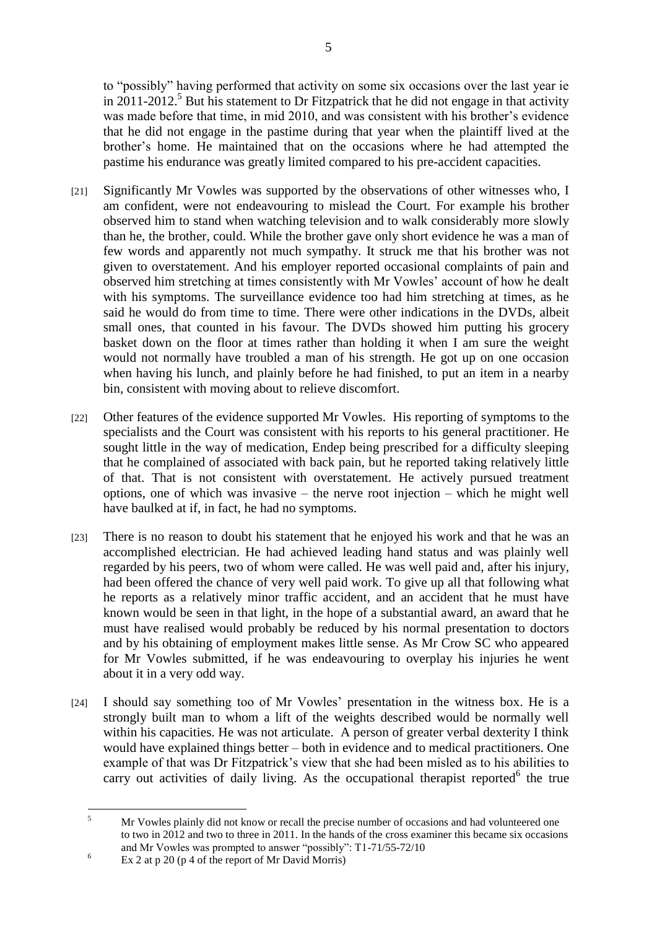to "possibly" having performed that activity on some six occasions over the last year ie in 2011-2012.<sup>5</sup> But his statement to Dr Fitzpatrick that he did not engage in that activity was made before that time, in mid 2010, and was consistent with his brother's evidence that he did not engage in the pastime during that year when the plaintiff lived at the brother's home. He maintained that on the occasions where he had attempted the pastime his endurance was greatly limited compared to his pre-accident capacities.

- [21] Significantly Mr Vowles was supported by the observations of other witnesses who, I am confident, were not endeavouring to mislead the Court. For example his brother observed him to stand when watching television and to walk considerably more slowly than he, the brother, could. While the brother gave only short evidence he was a man of few words and apparently not much sympathy. It struck me that his brother was not given to overstatement. And his employer reported occasional complaints of pain and observed him stretching at times consistently with Mr Vowles' account of how he dealt with his symptoms. The surveillance evidence too had him stretching at times, as he said he would do from time to time. There were other indications in the DVDs, albeit small ones, that counted in his favour. The DVDs showed him putting his grocery basket down on the floor at times rather than holding it when I am sure the weight would not normally have troubled a man of his strength. He got up on one occasion when having his lunch, and plainly before he had finished, to put an item in a nearby bin, consistent with moving about to relieve discomfort.
- [22] Other features of the evidence supported Mr Vowles. His reporting of symptoms to the specialists and the Court was consistent with his reports to his general practitioner. He sought little in the way of medication, Endep being prescribed for a difficulty sleeping that he complained of associated with back pain, but he reported taking relatively little of that. That is not consistent with overstatement. He actively pursued treatment options, one of which was invasive – the nerve root injection – which he might well have baulked at if, in fact, he had no symptoms.
- [23] There is no reason to doubt his statement that he enjoyed his work and that he was an accomplished electrician. He had achieved leading hand status and was plainly well regarded by his peers, two of whom were called. He was well paid and, after his injury, had been offered the chance of very well paid work. To give up all that following what he reports as a relatively minor traffic accident, and an accident that he must have known would be seen in that light, in the hope of a substantial award, an award that he must have realised would probably be reduced by his normal presentation to doctors and by his obtaining of employment makes little sense. As Mr Crow SC who appeared for Mr Vowles submitted, if he was endeavouring to overplay his injuries he went about it in a very odd way.
- [24] I should say something too of Mr Vowles' presentation in the witness box. He is a strongly built man to whom a lift of the weights described would be normally well within his capacities. He was not articulate. A person of greater verbal dexterity I think would have explained things better – both in evidence and to medical practitioners. One example of that was Dr Fitzpatrick's view that she had been misled as to his abilities to carry out activities of daily living. As the occupational therapist reported $6$  the true

 $\overline{\mathbf{S}}$ <sup>5</sup> Mr Vowles plainly did not know or recall the precise number of occasions and had volunteered one to two in 2012 and two to three in 2011. In the hands of the cross examiner this became six occasions and Mr Vowles was prompted to answer "possibly": T1-71/55-72/10

 $6$  Ex 2 at p 20 (p 4 of the report of Mr David Morris)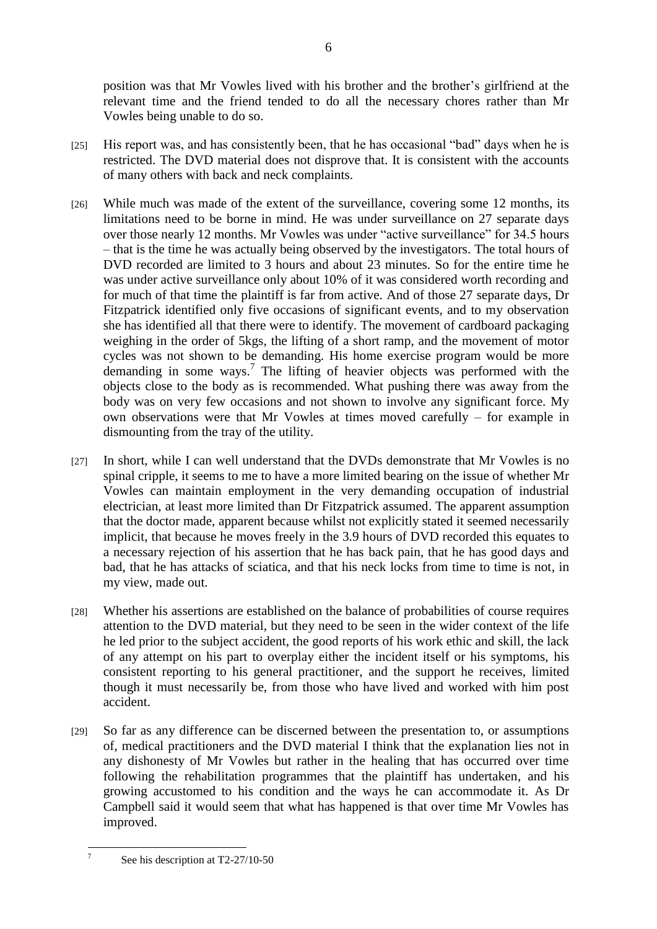position was that Mr Vowles lived with his brother and the brother's girlfriend at the relevant time and the friend tended to do all the necessary chores rather than Mr Vowles being unable to do so.

- [25] His report was, and has consistently been, that he has occasional "bad" days when he is restricted. The DVD material does not disprove that. It is consistent with the accounts of many others with back and neck complaints.
- [26] While much was made of the extent of the surveillance, covering some 12 months, its limitations need to be borne in mind. He was under surveillance on 27 separate days over those nearly 12 months. Mr Vowles was under "active surveillance" for 34.5 hours – that is the time he was actually being observed by the investigators. The total hours of DVD recorded are limited to 3 hours and about 23 minutes. So for the entire time he was under active surveillance only about 10% of it was considered worth recording and for much of that time the plaintiff is far from active. And of those 27 separate days, Dr Fitzpatrick identified only five occasions of significant events, and to my observation she has identified all that there were to identify. The movement of cardboard packaging weighing in the order of 5kgs, the lifting of a short ramp, and the movement of motor cycles was not shown to be demanding. His home exercise program would be more demanding in some ways.<sup>7</sup> The lifting of heavier objects was performed with the objects close to the body as is recommended. What pushing there was away from the body was on very few occasions and not shown to involve any significant force. My own observations were that Mr Vowles at times moved carefully – for example in dismounting from the tray of the utility.
- [27] In short, while I can well understand that the DVDs demonstrate that Mr Vowles is no spinal cripple, it seems to me to have a more limited bearing on the issue of whether Mr Vowles can maintain employment in the very demanding occupation of industrial electrician, at least more limited than Dr Fitzpatrick assumed. The apparent assumption that the doctor made, apparent because whilst not explicitly stated it seemed necessarily implicit, that because he moves freely in the 3.9 hours of DVD recorded this equates to a necessary rejection of his assertion that he has back pain, that he has good days and bad, that he has attacks of sciatica, and that his neck locks from time to time is not, in my view, made out.
- [28] Whether his assertions are established on the balance of probabilities of course requires attention to the DVD material, but they need to be seen in the wider context of the life he led prior to the subject accident, the good reports of his work ethic and skill, the lack of any attempt on his part to overplay either the incident itself or his symptoms, his consistent reporting to his general practitioner, and the support he receives, limited though it must necessarily be, from those who have lived and worked with him post accident.
- [29] So far as any difference can be discerned between the presentation to, or assumptions of, medical practitioners and the DVD material I think that the explanation lies not in any dishonesty of Mr Vowles but rather in the healing that has occurred over time following the rehabilitation programmes that the plaintiff has undertaken, and his growing accustomed to his condition and the ways he can accommodate it. As Dr Campbell said it would seem that what has happened is that over time Mr Vowles has improved.

 $\frac{1}{7}$ 

See his description at T2-27/10-50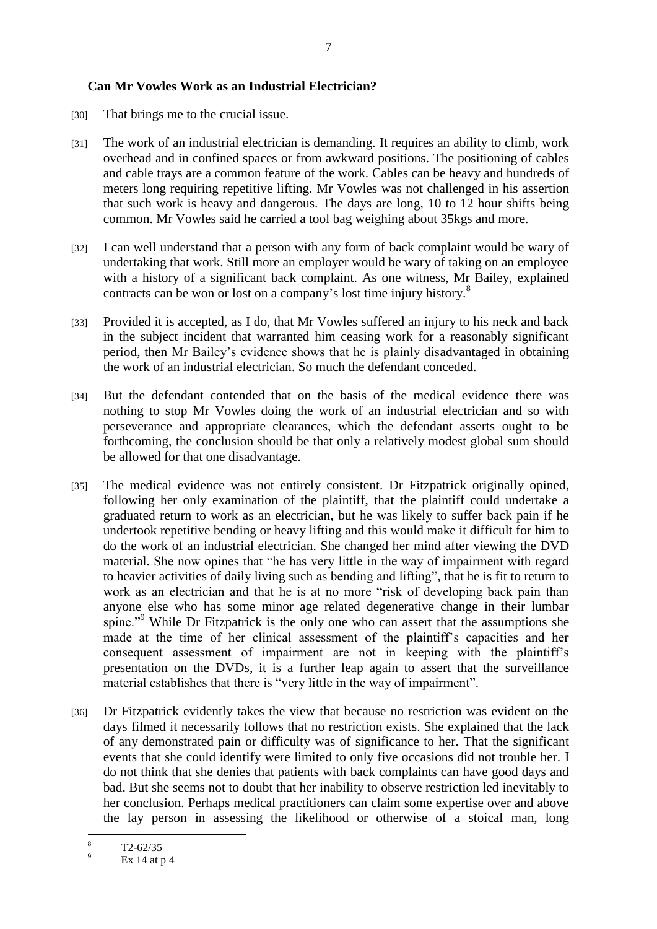#### **Can Mr Vowles Work as an Industrial Electrician?**

- [30] That brings me to the crucial issue.
- [31] The work of an industrial electrician is demanding. It requires an ability to climb, work overhead and in confined spaces or from awkward positions. The positioning of cables and cable trays are a common feature of the work. Cables can be heavy and hundreds of meters long requiring repetitive lifting. Mr Vowles was not challenged in his assertion that such work is heavy and dangerous. The days are long, 10 to 12 hour shifts being common. Mr Vowles said he carried a tool bag weighing about 35kgs and more.
- [32] I can well understand that a person with any form of back complaint would be wary of undertaking that work. Still more an employer would be wary of taking on an employee with a history of a significant back complaint. As one witness, Mr Bailey, explained contracts can be won or lost on a company's lost time injury history.<sup>8</sup>
- [33] Provided it is accepted, as I do, that Mr Vowles suffered an injury to his neck and back in the subject incident that warranted him ceasing work for a reasonably significant period, then Mr Bailey's evidence shows that he is plainly disadvantaged in obtaining the work of an industrial electrician. So much the defendant conceded.
- [34] But the defendant contended that on the basis of the medical evidence there was nothing to stop Mr Vowles doing the work of an industrial electrician and so with perseverance and appropriate clearances, which the defendant asserts ought to be forthcoming, the conclusion should be that only a relatively modest global sum should be allowed for that one disadvantage.
- [35] The medical evidence was not entirely consistent. Dr Fitzpatrick originally opined, following her only examination of the plaintiff, that the plaintiff could undertake a graduated return to work as an electrician, but he was likely to suffer back pain if he undertook repetitive bending or heavy lifting and this would make it difficult for him to do the work of an industrial electrician. She changed her mind after viewing the DVD material. She now opines that "he has very little in the way of impairment with regard to heavier activities of daily living such as bending and lifting", that he is fit to return to work as an electrician and that he is at no more "risk of developing back pain than anyone else who has some minor age related degenerative change in their lumbar spine."<sup>9</sup> While Dr Fitzpatrick is the only one who can assert that the assumptions she made at the time of her clinical assessment of the plaintiff's capacities and her consequent assessment of impairment are not in keeping with the plaintiff's presentation on the DVDs, it is a further leap again to assert that the surveillance material establishes that there is "very little in the way of impairment".
- [36] Dr Fitzpatrick evidently takes the view that because no restriction was evident on the days filmed it necessarily follows that no restriction exists. She explained that the lack of any demonstrated pain or difficulty was of significance to her. That the significant events that she could identify were limited to only five occasions did not trouble her. I do not think that she denies that patients with back complaints can have good days and bad. But she seems not to doubt that her inability to observe restriction led inevitably to her conclusion. Perhaps medical practitioners can claim some expertise over and above the lay person in assessing the likelihood or otherwise of a stoical man, long

 $\overline{8}$  $\frac{8}{9}$  T2-62/35

Ex 14 at  $p$  4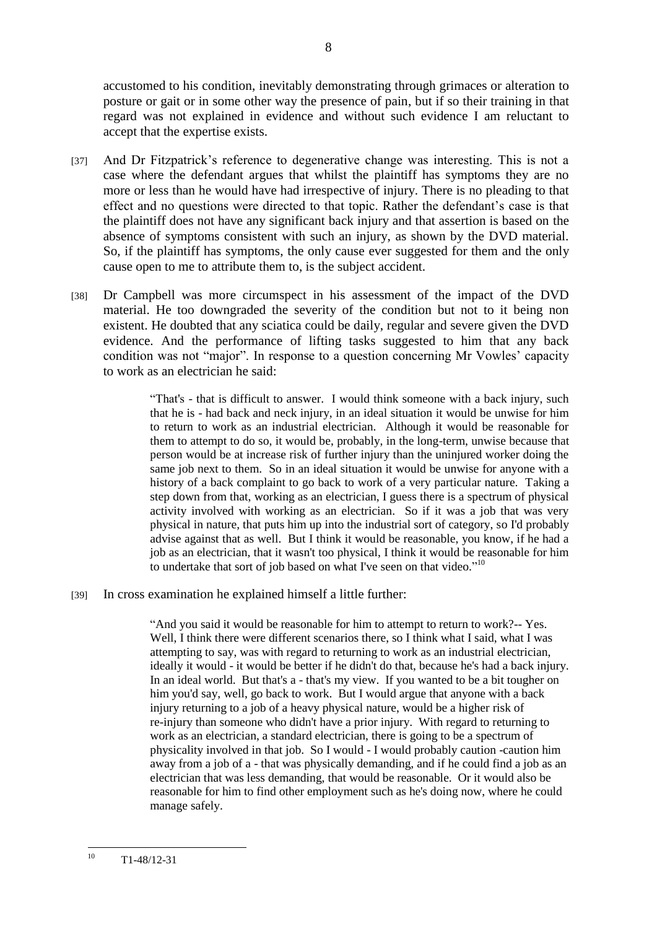accustomed to his condition, inevitably demonstrating through grimaces or alteration to posture or gait or in some other way the presence of pain, but if so their training in that regard was not explained in evidence and without such evidence I am reluctant to accept that the expertise exists.

- [37] And Dr Fitzpatrick's reference to degenerative change was interesting. This is not a case where the defendant argues that whilst the plaintiff has symptoms they are no more or less than he would have had irrespective of injury. There is no pleading to that effect and no questions were directed to that topic. Rather the defendant's case is that the plaintiff does not have any significant back injury and that assertion is based on the absence of symptoms consistent with such an injury, as shown by the DVD material. So, if the plaintiff has symptoms, the only cause ever suggested for them and the only cause open to me to attribute them to, is the subject accident.
- [38] Dr Campbell was more circumspect in his assessment of the impact of the DVD material. He too downgraded the severity of the condition but not to it being non existent. He doubted that any sciatica could be daily, regular and severe given the DVD evidence. And the performance of lifting tasks suggested to him that any back condition was not "major". In response to a question concerning Mr Vowles' capacity to work as an electrician he said:

"That's - that is difficult to answer. I would think someone with a back injury, such that he is - had back and neck injury, in an ideal situation it would be unwise for him to return to work as an industrial electrician. Although it would be reasonable for them to attempt to do so, it would be, probably, in the long-term, unwise because that person would be at increase risk of further injury than the uninjured worker doing the same job next to them. So in an ideal situation it would be unwise for anyone with a history of a back complaint to go back to work of a very particular nature. Taking a step down from that, working as an electrician, I guess there is a spectrum of physical activity involved with working as an electrician. So if it was a job that was very physical in nature, that puts him up into the industrial sort of category, so I'd probably advise against that as well. But I think it would be reasonable, you know, if he had a job as an electrician, that it wasn't too physical, I think it would be reasonable for him to undertake that sort of job based on what I've seen on that video."<sup>10</sup>

[39] In cross examination he explained himself a little further:

"And you said it would be reasonable for him to attempt to return to work?-- Yes. Well, I think there were different scenarios there, so I think what I said, what I was attempting to say, was with regard to returning to work as an industrial electrician, ideally it would - it would be better if he didn't do that, because he's had a back injury. In an ideal world. But that's a - that's my view. If you wanted to be a bit tougher on him you'd say, well, go back to work. But I would argue that anyone with a back injury returning to a job of a heavy physical nature, would be a higher risk of re-injury than someone who didn't have a prior injury. With regard to returning to work as an electrician, a standard electrician, there is going to be a spectrum of physicality involved in that job. So I would - I would probably caution -caution him away from a job of a - that was physically demanding, and if he could find a job as an electrician that was less demanding, that would be reasonable. Or it would also be reasonable for him to find other employment such as he's doing now, where he could manage safely.

 $10$  $T1 - 48/12 - 31$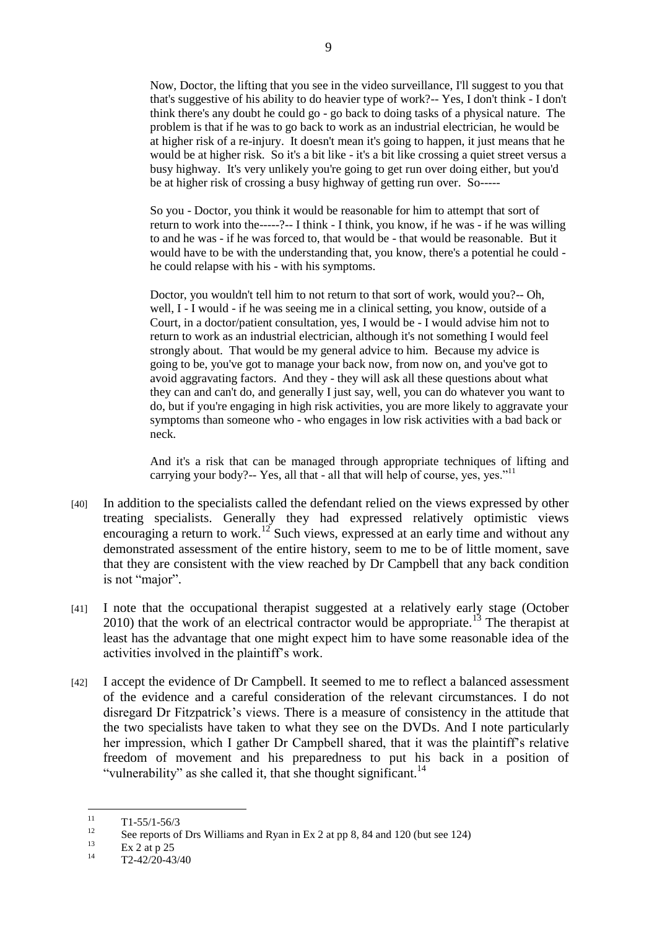Now, Doctor, the lifting that you see in the video surveillance, I'll suggest to you that that's suggestive of his ability to do heavier type of work?-- Yes, I don't think - I don't think there's any doubt he could go - go back to doing tasks of a physical nature. The problem is that if he was to go back to work as an industrial electrician, he would be at higher risk of a re-injury. It doesn't mean it's going to happen, it just means that he would be at higher risk. So it's a bit like - it's a bit like crossing a quiet street versus a busy highway. It's very unlikely you're going to get run over doing either, but you'd be at higher risk of crossing a busy highway of getting run over. So-----

So you - Doctor, you think it would be reasonable for him to attempt that sort of return to work into the-----?-- I think - I think, you know, if he was - if he was willing to and he was - if he was forced to, that would be - that would be reasonable. But it would have to be with the understanding that, you know, there's a potential he could he could relapse with his - with his symptoms.

Doctor, you wouldn't tell him to not return to that sort of work, would you?-- Oh, well, I - I would - if he was seeing me in a clinical setting, you know, outside of a Court, in a doctor/patient consultation, yes, I would be - I would advise him not to return to work as an industrial electrician, although it's not something I would feel strongly about. That would be my general advice to him. Because my advice is going to be, you've got to manage your back now, from now on, and you've got to avoid aggravating factors. And they - they will ask all these questions about what they can and can't do, and generally I just say, well, you can do whatever you want to do, but if you're engaging in high risk activities, you are more likely to aggravate your symptoms than someone who - who engages in low risk activities with a bad back or neck.

And it's a risk that can be managed through appropriate techniques of lifting and carrying your body?-- Yes, all that - all that will help of course, yes, yes." $11$ 

- [40] In addition to the specialists called the defendant relied on the views expressed by other treating specialists. Generally they had expressed relatively optimistic views encouraging a return to work.<sup>12</sup> Such views, expressed at an early time and without any demonstrated assessment of the entire history, seem to me to be of little moment, save that they are consistent with the view reached by Dr Campbell that any back condition is not "major".
- [41] I note that the occupational therapist suggested at a relatively early stage (October 2010) that the work of an electrical contractor would be appropriate.<sup>13</sup> The therapist at least has the advantage that one might expect him to have some reasonable idea of the activities involved in the plaintiff's work.
- [42] I accept the evidence of Dr Campbell. It seemed to me to reflect a balanced assessment of the evidence and a careful consideration of the relevant circumstances. I do not disregard Dr Fitzpatrick's views. There is a measure of consistency in the attitude that the two specialists have taken to what they see on the DVDs. And I note particularly her impression, which I gather Dr Campbell shared, that it was the plaintiff's relative freedom of movement and his preparedness to put his back in a position of "vulnerability" as she called it, that she thought significant.<sup>14</sup>

 $11$  $\frac{11}{12}$  T1-55/1-56/3

<sup>&</sup>lt;sup>12</sup> See reports of Drs Williams and Ryan in Ex 2 at pp 8, 84 and 120 (but see 124)

 $\frac{13}{14}$  Ex 2 at p 25

<sup>14</sup> T2-42/20-43/40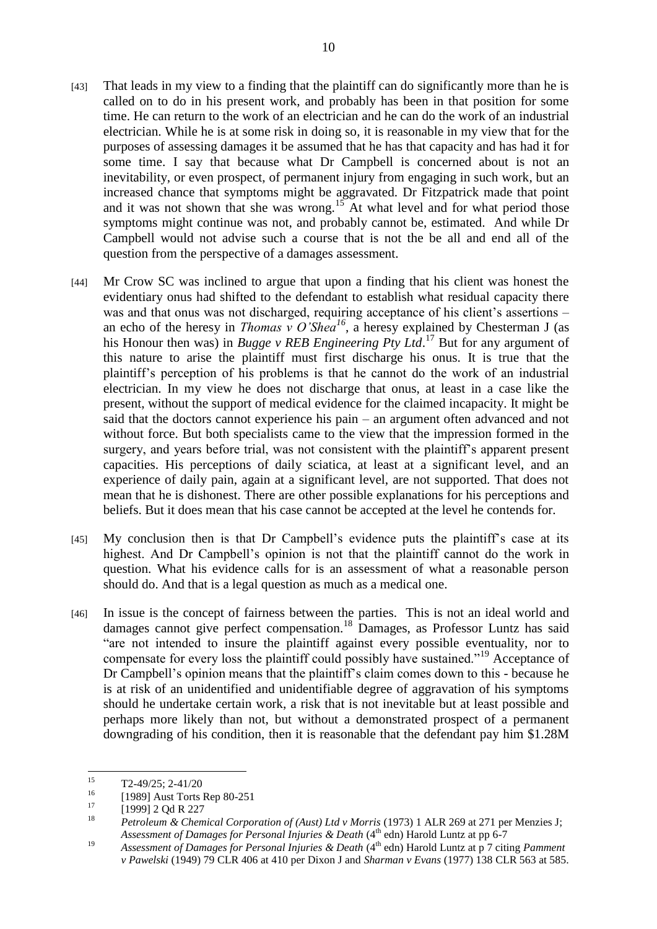- [43] That leads in my view to a finding that the plaintiff can do significantly more than he is called on to do in his present work, and probably has been in that position for some time. He can return to the work of an electrician and he can do the work of an industrial electrician. While he is at some risk in doing so, it is reasonable in my view that for the purposes of assessing damages it be assumed that he has that capacity and has had it for some time. I say that because what Dr Campbell is concerned about is not an inevitability, or even prospect, of permanent injury from engaging in such work, but an increased chance that symptoms might be aggravated. Dr Fitzpatrick made that point and it was not shown that she was wrong.<sup>15</sup> At what level and for what period those symptoms might continue was not, and probably cannot be, estimated. And while Dr Campbell would not advise such a course that is not the be all and end all of the question from the perspective of a damages assessment.
- [44] Mr Crow SC was inclined to argue that upon a finding that his client was honest the evidentiary onus had shifted to the defendant to establish what residual capacity there was and that onus was not discharged, requiring acceptance of his client's assertions – an echo of the heresy in *Thomas v O'Shea<sup>16</sup>*, a heresy explained by Chesterman J (as his Honour then was) in *Bugge v REB Engineering Pty Ltd*. <sup>17</sup> But for any argument of this nature to arise the plaintiff must first discharge his onus. It is true that the plaintiff's perception of his problems is that he cannot do the work of an industrial electrician. In my view he does not discharge that onus, at least in a case like the present, without the support of medical evidence for the claimed incapacity. It might be said that the doctors cannot experience his pain – an argument often advanced and not without force. But both specialists came to the view that the impression formed in the surgery, and years before trial, was not consistent with the plaintiff's apparent present capacities. His perceptions of daily sciatica, at least at a significant level, and an experience of daily pain, again at a significant level, are not supported. That does not mean that he is dishonest. There are other possible explanations for his perceptions and beliefs. But it does mean that his case cannot be accepted at the level he contends for.
- [45] My conclusion then is that Dr Campbell's evidence puts the plaintiff's case at its highest. And Dr Campbell's opinion is not that the plaintiff cannot do the work in question. What his evidence calls for is an assessment of what a reasonable person should do. And that is a legal question as much as a medical one.
- [46] In issue is the concept of fairness between the parties. This is not an ideal world and damages cannot give perfect compensation.<sup>18</sup> Damages, as Professor Luntz has said "are not intended to insure the plaintiff against every possible eventuality, nor to compensate for every loss the plaintiff could possibly have sustained."<sup>19</sup> Acceptance of Dr Campbell's opinion means that the plaintiff's claim comes down to this - because he is at risk of an unidentified and unidentifiable degree of aggravation of his symptoms should he undertake certain work, a risk that is not inevitable but at least possible and perhaps more likely than not, but without a demonstrated prospect of a permanent downgrading of his condition, then it is reasonable that the defendant pay him \$1.28M

 $15$  $T2-49/25$ ; 2-41/20

 $^{16}$  [1989] Aust Torts Rep 80-251

 $^{17}$  [1999] 2 Qd R 227

<sup>18</sup> *Petroleum & Chemical Corporation of (Aust) Ltd v Morris* (1973) 1 ALR 269 at 271 per Menzies J; *Assessment of Damages for Personal Injuries & Death* (4th edn) Harold Luntz at pp 6-7

<sup>&</sup>lt;sup>19</sup> *Assessment of Damages for Personal Injuries & Death* (4<sup>th</sup> edn) Harold Luntz at p 7 citing *Pamment v Pawelski* (1949) 79 CLR 406 at 410 per Dixon J and *Sharman v Evans* (1977) 138 CLR 563 at 585.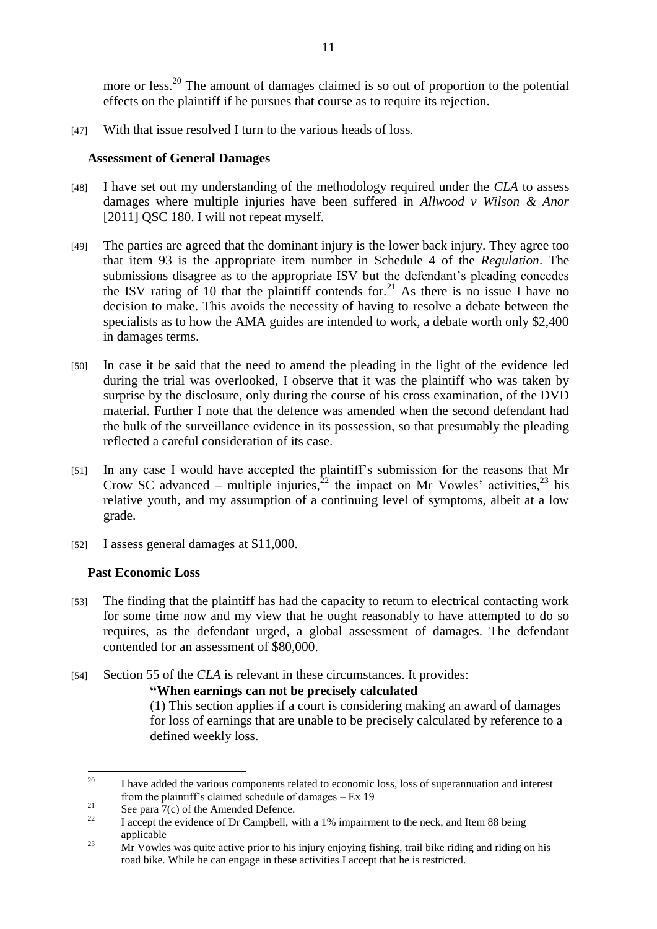more or less.<sup>20</sup> The amount of damages claimed is so out of proportion to the potential effects on the plaintiff if he pursues that course as to require its rejection.

[47] With that issue resolved I turn to the various heads of loss.

## **Assessment of General Damages**

- [48] I have set out my understanding of the methodology required under the *CLA* to assess damages where multiple injuries have been suffered in *Allwood v Wilson & Anor*  [2011] QSC 180. I will not repeat myself.
- [49] The parties are agreed that the dominant injury is the lower back injury. They agree too that item 93 is the appropriate item number in Schedule 4 of the *Regulation*. The submissions disagree as to the appropriate ISV but the defendant's pleading concedes the ISV rating of 10 that the plaintiff contends for.<sup>21</sup> As there is no issue I have no decision to make. This avoids the necessity of having to resolve a debate between the specialists as to how the AMA guides are intended to work, a debate worth only \$2,400 in damages terms.
- [50] In case it be said that the need to amend the pleading in the light of the evidence led during the trial was overlooked, I observe that it was the plaintiff who was taken by surprise by the disclosure, only during the course of his cross examination, of the DVD material. Further I note that the defence was amended when the second defendant had the bulk of the surveillance evidence in its possession, so that presumably the pleading reflected a careful consideration of its case.
- [51] In any case I would have accepted the plaintiff's submission for the reasons that Mr Crow SC advanced – multiple injuries,  $2^2$  the impact on Mr Vowles' activities,  $2^3$  his relative youth, and my assumption of a continuing level of symptoms, albeit at a low grade.
- [52] I assess general damages at \$11,000.

#### **Past Economic Loss**

- [53] The finding that the plaintiff has had the capacity to return to electrical contacting work for some time now and my view that he ought reasonably to have attempted to do so requires, as the defendant urged, a global assessment of damages. The defendant contended for an assessment of \$80,000.
- [54] Section 55 of the *CLA* is relevant in these circumstances. It provides:

#### **"When earnings can not be precisely calculated**

(1) This section applies if a court is considering making an award of damages for loss of earnings that are unable to be precisely calculated by reference to a defined weekly loss.

<sup>20</sup> <sup>20</sup> I have added the various components related to economic loss, loss of superannuation and interest from the plaintiff's claimed schedule of damages – Ex 19

 $\frac{21}{22}$  See para 7(c) of the Amended Defence.

<sup>22</sup> I accept the evidence of Dr Campbell, with a 1% impairment to the neck, and Item 88 being applicable

<sup>&</sup>lt;sup>23</sup> Mr Vowles was quite active prior to his injury enjoying fishing, trail bike riding and riding on his road bike. While he can engage in these activities I accept that he is restricted.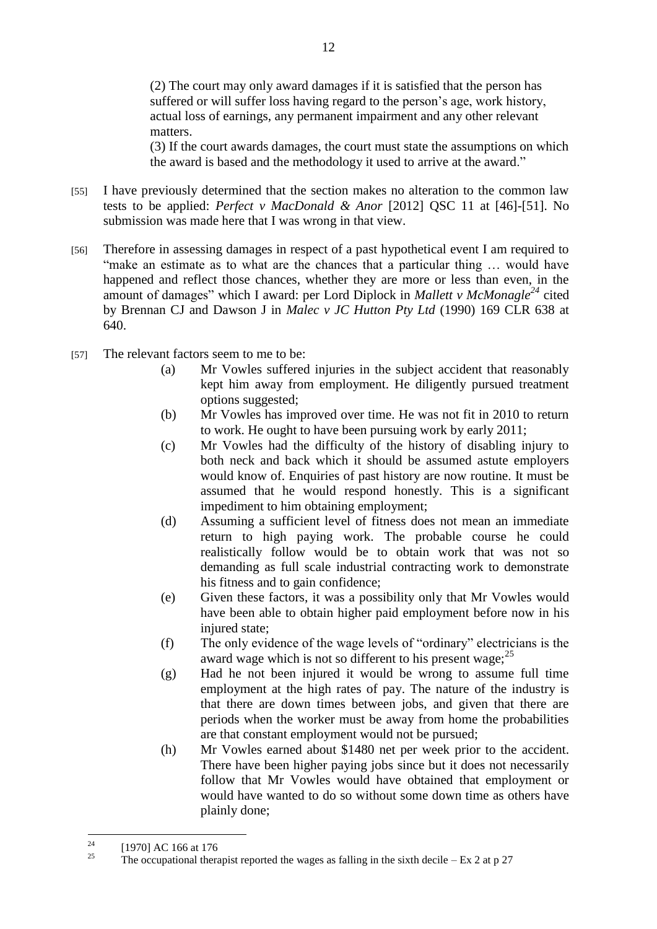(2) The court may only award damages if it is satisfied that the person has suffered or will suffer loss having regard to the person's age, work history, actual loss of earnings, any permanent impairment and any other relevant matters.

(3) If the court awards damages, the court must state the assumptions on which the award is based and the methodology it used to arrive at the award."

- [55] I have previously determined that the section makes no alteration to the common law tests to be applied: *Perfect v MacDonald & Anor* [2012] QSC 11 at [46]-[51]. No submission was made here that I was wrong in that view.
- [56] Therefore in assessing damages in respect of a past hypothetical event I am required to "make an estimate as to what are the chances that a particular thing … would have happened and reflect those chances, whether they are more or less than even, in the amount of damages" which I award: per Lord Diplock in *Mallett v McMonagle<sup>24</sup>* cited by Brennan CJ and Dawson J in *Malec v JC Hutton Pty Ltd* (1990) 169 CLR 638 at 640.
- [57] The relevant factors seem to me to be:
	- (a) Mr Vowles suffered injuries in the subject accident that reasonably kept him away from employment. He diligently pursued treatment options suggested;
	- (b) Mr Vowles has improved over time. He was not fit in 2010 to return to work. He ought to have been pursuing work by early 2011;
	- (c) Mr Vowles had the difficulty of the history of disabling injury to both neck and back which it should be assumed astute employers would know of. Enquiries of past history are now routine. It must be assumed that he would respond honestly. This is a significant impediment to him obtaining employment;
	- (d) Assuming a sufficient level of fitness does not mean an immediate return to high paying work. The probable course he could realistically follow would be to obtain work that was not so demanding as full scale industrial contracting work to demonstrate his fitness and to gain confidence;
	- (e) Given these factors, it was a possibility only that Mr Vowles would have been able to obtain higher paid employment before now in his injured state;
	- (f) The only evidence of the wage levels of "ordinary" electricians is the award wage which is not so different to his present wage;  $^{25}$
	- (g) Had he not been injured it would be wrong to assume full time employment at the high rates of pay. The nature of the industry is that there are down times between jobs, and given that there are periods when the worker must be away from home the probabilities are that constant employment would not be pursued;
	- (h) Mr Vowles earned about \$1480 net per week prior to the accident. There have been higher paying jobs since but it does not necessarily follow that Mr Vowles would have obtained that employment or would have wanted to do so without some down time as others have plainly done;

 $24$  $\frac{24}{25}$  [1970] AC 166 at 176

The occupational therapist reported the wages as falling in the sixth decile  $-$  Ex 2 at p 27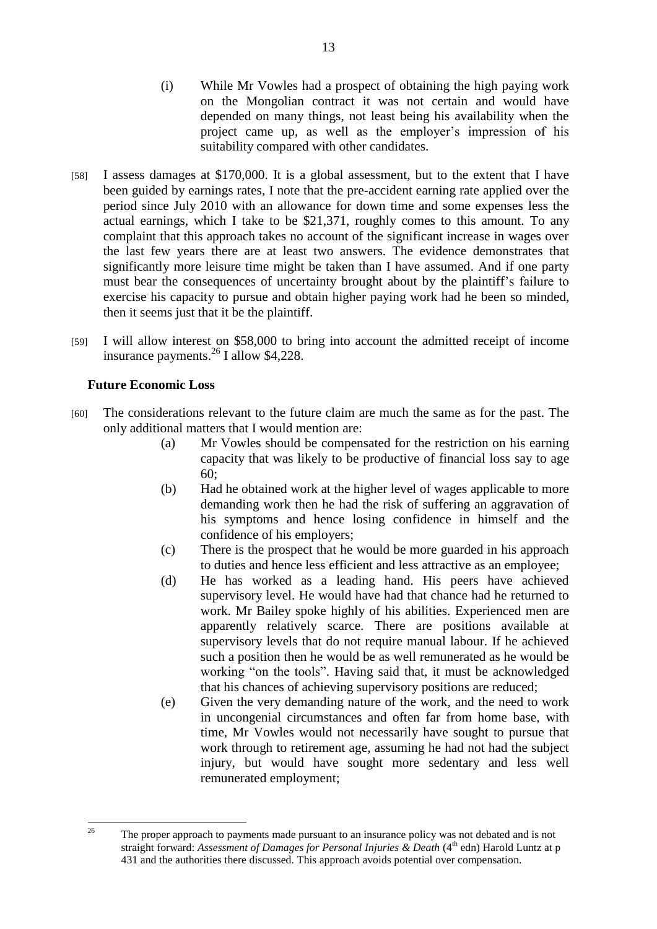- (i) While Mr Vowles had a prospect of obtaining the high paying work on the Mongolian contract it was not certain and would have depended on many things, not least being his availability when the project came up, as well as the employer's impression of his suitability compared with other candidates.
- [58] I assess damages at \$170,000. It is a global assessment, but to the extent that I have been guided by earnings rates, I note that the pre-accident earning rate applied over the period since July 2010 with an allowance for down time and some expenses less the actual earnings, which I take to be \$21,371, roughly comes to this amount. To any complaint that this approach takes no account of the significant increase in wages over the last few years there are at least two answers. The evidence demonstrates that significantly more leisure time might be taken than I have assumed. And if one party must bear the consequences of uncertainty brought about by the plaintiff's failure to exercise his capacity to pursue and obtain higher paying work had he been so minded, then it seems just that it be the plaintiff.
- [59] I will allow interest on \$58,000 to bring into account the admitted receipt of income insurance payments. <sup>26</sup> I allow \$4,228.

## **Future Economic Loss**

- [60] The considerations relevant to the future claim are much the same as for the past. The only additional matters that I would mention are:
	- (a) Mr Vowles should be compensated for the restriction on his earning capacity that was likely to be productive of financial loss say to age 60;
	- (b) Had he obtained work at the higher level of wages applicable to more demanding work then he had the risk of suffering an aggravation of his symptoms and hence losing confidence in himself and the confidence of his employers;
	- (c) There is the prospect that he would be more guarded in his approach to duties and hence less efficient and less attractive as an employee;
	- (d) He has worked as a leading hand. His peers have achieved supervisory level. He would have had that chance had he returned to work. Mr Bailey spoke highly of his abilities. Experienced men are apparently relatively scarce. There are positions available at supervisory levels that do not require manual labour. If he achieved such a position then he would be as well remunerated as he would be working "on the tools". Having said that, it must be acknowledged that his chances of achieving supervisory positions are reduced;
	- (e) Given the very demanding nature of the work, and the need to work in uncongenial circumstances and often far from home base, with time, Mr Vowles would not necessarily have sought to pursue that work through to retirement age, assuming he had not had the subject injury, but would have sought more sedentary and less well remunerated employment;

 $26$ <sup>26</sup> The proper approach to payments made pursuant to an insurance policy was not debated and is not straight forward: *Assessment of Damages for Personal Injuries & Death* (4<sup>th</sup> edn) Harold Luntz at p 431 and the authorities there discussed. This approach avoids potential over compensation.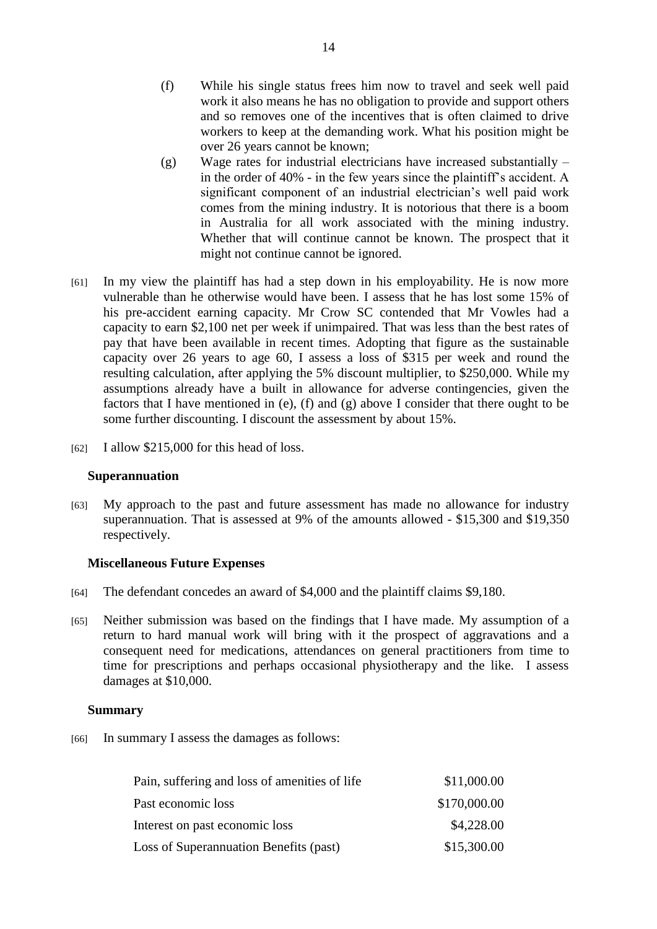- (f) While his single status frees him now to travel and seek well paid work it also means he has no obligation to provide and support others and so removes one of the incentives that is often claimed to drive workers to keep at the demanding work. What his position might be over 26 years cannot be known;
- (g) Wage rates for industrial electricians have increased substantially in the order of 40% - in the few years since the plaintiff's accident. A significant component of an industrial electrician's well paid work comes from the mining industry. It is notorious that there is a boom in Australia for all work associated with the mining industry. Whether that will continue cannot be known. The prospect that it might not continue cannot be ignored.
- [61] In my view the plaintiff has had a step down in his employability. He is now more vulnerable than he otherwise would have been. I assess that he has lost some 15% of his pre-accident earning capacity. Mr Crow SC contended that Mr Vowles had a capacity to earn \$2,100 net per week if unimpaired. That was less than the best rates of pay that have been available in recent times. Adopting that figure as the sustainable capacity over 26 years to age 60, I assess a loss of \$315 per week and round the resulting calculation, after applying the 5% discount multiplier, to \$250,000. While my assumptions already have a built in allowance for adverse contingencies, given the factors that I have mentioned in (e), (f) and (g) above I consider that there ought to be some further discounting. I discount the assessment by about 15%.
- [62] I allow \$215,000 for this head of loss.

#### **Superannuation**

[63] My approach to the past and future assessment has made no allowance for industry superannuation. That is assessed at 9% of the amounts allowed - \$15,300 and \$19,350 respectively.

#### **Miscellaneous Future Expenses**

- [64] The defendant concedes an award of \$4,000 and the plaintiff claims \$9,180.
- [65] Neither submission was based on the findings that I have made. My assumption of a return to hard manual work will bring with it the prospect of aggravations and a consequent need for medications, attendances on general practitioners from time to time for prescriptions and perhaps occasional physiotherapy and the like. I assess damages at \$10,000.

#### **Summary**

[66] In summary I assess the damages as follows:

| Pain, suffering and loss of amenities of life | \$11,000.00  |
|-----------------------------------------------|--------------|
| Past economic loss                            | \$170,000.00 |
| Interest on past economic loss                | \$4,228.00   |
| Loss of Superannuation Benefits (past)        | \$15,300.00  |